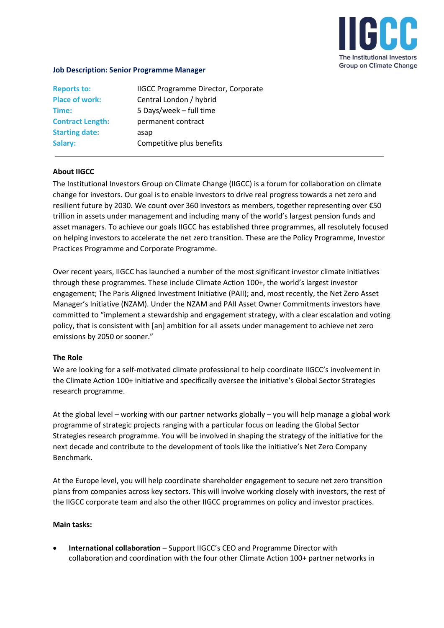

## **Job Description: Senior Programme Manager**

| <b>Reports to:</b>      | <b>IIGCC Programme Director, Corporate</b> |
|-------------------------|--------------------------------------------|
| <b>Place of work:</b>   | Central London / hybrid                    |
| Time:                   | 5 Days/week - full time                    |
| <b>Contract Length:</b> | permanent contract                         |
| <b>Starting date:</b>   | asap                                       |
| Salary:                 | Competitive plus benefits                  |
|                         |                                            |

## **About IIGCC**

The Institutional Investors Group on Climate Change (IIGCC) is a forum for collaboration on climate change for investors. Our goal is to enable investors to drive real progress towards a net zero and resilient future by 2030. We count over 360 investors as members, together representing over €50 trillion in assets under management and including many of the world's largest pension funds and asset managers. To achieve our goals IIGCC has established three programmes, all resolutely focused on helping investors to accelerate the net zero transition. These are the Policy Programme, Investor Practices Programme and Corporate Programme.

Over recent years, IIGCC has launched a number of the most significant investor climate initiatives through these programmes. These include Climate Action 100+, the world's largest investor engagement; The Paris Aligned Investment Initiative (PAII); and, most recently, the Net Zero Asset Manager's Initiative (NZAM). Under the NZAM and PAII Asset Owner Commitments investors have committed to "implement a stewardship and engagement strategy, with a clear escalation and voting policy, that is consistent with [an] ambition for all assets under management to achieve net zero emissions by 2050 or sooner."

## **The Role**

We are looking for a self-motivated climate professional to help coordinate IIGCC's involvement in the Climate Action 100+ initiative and specifically oversee the initiative's Global Sector Strategies research programme.

At the global level – working with our partner networks globally – you will help manage a global work programme of strategic projects ranging with a particular focus on leading the Global Sector Strategies research programme. You will be involved in shaping the strategy of the initiative for the next decade and contribute to the development of tools like the initiative's Net Zero Company Benchmark.

At the Europe level, you will help coordinate shareholder engagement to secure net zero transition plans from companies across key sectors. This will involve working closely with investors, the rest of the IIGCC corporate team and also the other IIGCC programmes on policy and investor practices.

#### **Main tasks:**

• **International collaboration** – Support IIGCC's CEO and Programme Director with collaboration and coordination with the four other Climate Action 100+ partner networks in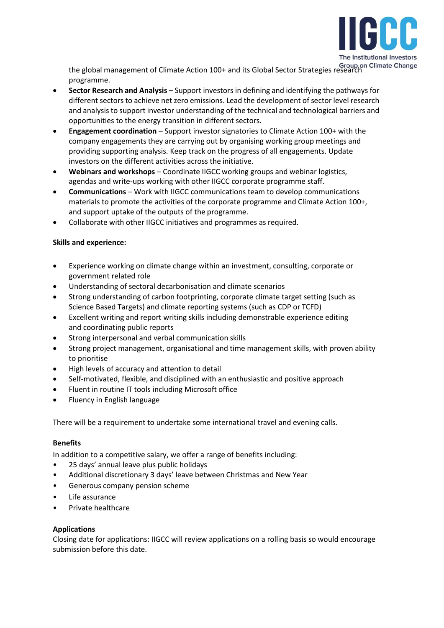

the global management of Climate Action 100+ and its Global Sector Strategies research programme.

- **Sector Research and Analysis**  Support investors in defining and identifying the pathways for different sectors to achieve net zero emissions. Lead the development of sector level research and analysis to support investor understanding of the technical and technological barriers and opportunities to the energy transition in different sectors.
- **Engagement coordination**  Support investor signatories to Climate Action 100+ with the company engagements they are carrying out by organising working group meetings and providing supporting analysis. Keep track on the progress of all engagements. Update investors on the different activities across the initiative.
- **Webinars and workshops**  Coordinate IIGCC working groups and webinar logistics, agendas and write-ups working with other IIGCC corporate programme staff.
- **Communications** Work with IIGCC communications team to develop communications materials to promote the activities of the corporate programme and Climate Action 100+, and support uptake of the outputs of the programme.
- Collaborate with other IIGCC initiatives and programmes as required.

# **Skills and experience:**

- Experience working on climate change within an investment, consulting, corporate or government related role
- Understanding of sectoral decarbonisation and climate scenarios
- Strong understanding of carbon footprinting, corporate climate target setting (such as Science Based Targets) and climate reporting systems (such as CDP or TCFD)
- Excellent writing and report writing skills including demonstrable experience editing and coordinating public reports
- Strong interpersonal and verbal communication skills
- Strong project management, organisational and time management skills, with proven ability to prioritise
- High levels of accuracy and attention to detail
- Self-motivated, flexible, and disciplined with an enthusiastic and positive approach
- Fluent in routine IT tools including Microsoft office
- Fluency in English language

There will be a requirement to undertake some international travel and evening calls.

## **Benefits**

In addition to a competitive salary, we offer a range of benefits including:

- 25 days' annual leave plus public holidays
- Additional discretionary 3 days' leave between Christmas and New Year
- Generous company pension scheme
- Life assurance
- Private healthcare

## **Applications**

Closing date for applications: IIGCC will review applications on a rolling basis so would encourage submission before this date.